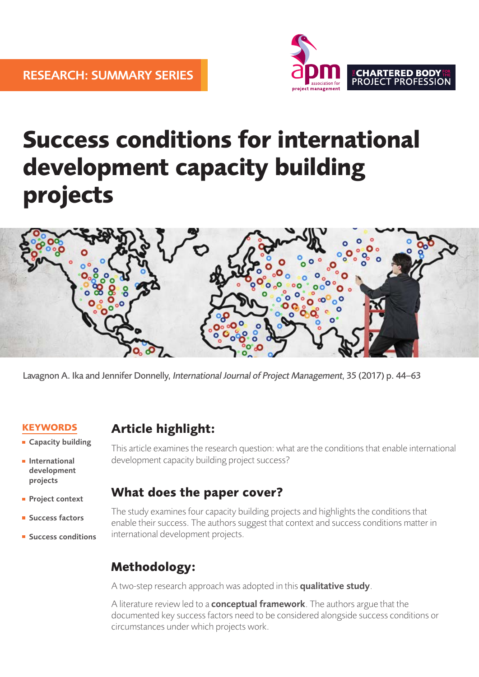

# **Success conditions for international development capacity building projects**



Lavagnon A. Ika and Jennifer Donnelly, International Journal of Project Management, 35 (2017) p. 44–63

### **KEYWORDS**

- **Capacity building**
- **International** development projects
- **Project context**
- **Success factors**
- **Success conditions**

## **Article highlight:**

This article examines the research question: what are the conditions that enable international development capacity building project success?

## **What does the paper cover?**

The study examines four capacity building projects and highlights the conditions that enable their success. The authors suggest that context and success conditions matter in international development projects.

## **Methodology:**

A two-step research approach was adopted in this qualitative study.

A literature review led to a **conceptual framework**. The authors argue that the documented key success factors need to be considered alongside success conditions or circumstances under which projects work.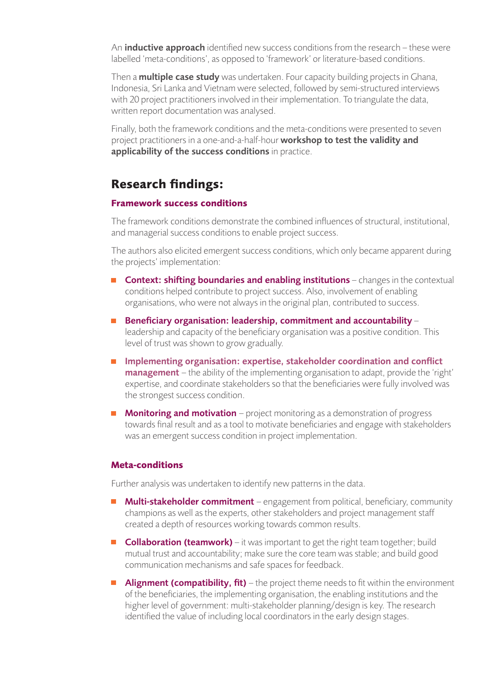An **inductive approach** identified new success conditions from the research – these were labelled 'meta-conditions', as opposed to 'framework' or literature-based conditions.

Then a **multiple case study** was undertaken. Four capacity building projects in Ghana, Indonesia, Sri Lanka and Vietnam were selected, followed by semi-structured interviews with 20 project practitioners involved in their implementation. To triangulate the data, written report documentation was analysed.

Finally, both the framework conditions and the meta-conditions were presented to seven project practitioners in a one-and-a-half-hour workshop to test the validity and applicability of the success conditions in practice.

## **Research findings:**

#### **Framework success conditions**

The framework conditions demonstrate the combined influences of structural, institutional, and managerial success conditions to enable project success.

The authors also elicited emergent success conditions, which only became apparent during the projects' implementation:

- **Context: shifting boundaries and enabling institutions** changes in the contextual conditions helped contribute to project success. Also, involvement of enabling organisations, who were not always in the original plan, contributed to success.
- Beneficiary organisation: leadership, commitment and accountability leadership and capacity of the beneficiary organisation was a positive condition. This level of trust was shown to grow gradually.
- **Implementing organisation: expertise, stakeholder coordination and conflict management** – the ability of the implementing organisation to adapt, provide the 'right' expertise, and coordinate stakeholders so that the beneficiaries were fully involved was the strongest success condition.
- **Monitoring and motivation** project monitoring as a demonstration of progress towards final result and as a tool to motivate beneficiaries and engage with stakeholders was an emergent success condition in project implementation.

#### **Meta-conditions**

Further analysis was undertaken to identify new patterns in the data.

- **Multi-stakeholder commitment** engagement from political, beneficiary, community champions as well as the experts, other stakeholders and project management staff created a depth of resources working towards common results.
- **Collaboration (teamwork)** it was important to get the right team together; build mutual trust and accountability; make sure the core team was stable; and build good communication mechanisms and safe spaces for feedback.
- **Alignment (compatibility, fit)** the project theme needs to fit within the environment of the beneficiaries, the implementing organisation, the enabling institutions and the higher level of government: multi-stakeholder planning/design is key. The research identified the value of including local coordinators in the early design stages.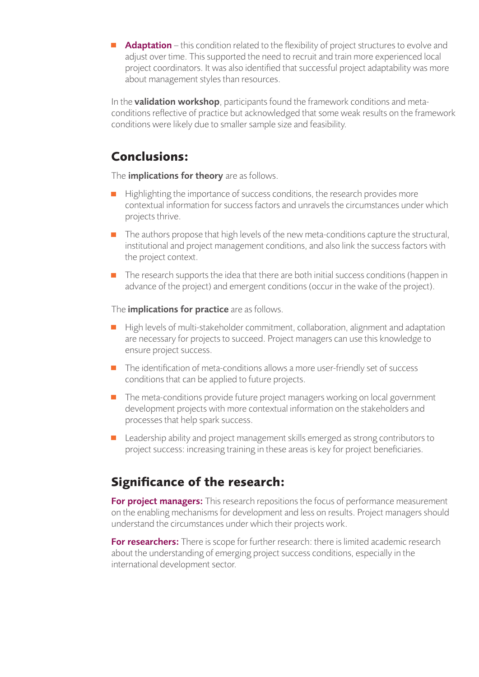Adaptation – this condition related to the flexibility of project structures to evolve and adjust over time. This supported the need to recruit and train more experienced local project coordinators. It was also identified that successful project adaptability was more about management styles than resources.

In the **validation workshop**, participants found the framework conditions and metaconditions reflective of practice but acknowledged that some weak results on the framework conditions were likely due to smaller sample size and feasibility.

## **Conclusions:**

The *implications for theory* are as follows.

- Highlighting the importance of success conditions, the research provides more contextual information for success factors and unravels the circumstances under which projects thrive.
- The authors propose that high levels of the new meta-conditions capture the structural,  $\overline{\phantom{a}}$ institutional and project management conditions, and also link the success factors with the project context.
- $\blacksquare$  The research supports the idea that there are both initial success conditions (happen in advance of the project) and emergent conditions (occur in the wake of the project).

The *implications for practice* are as follows.

- High levels of multi-stakeholder commitment, collaboration, alignment and adaptation are necessary for projects to succeed. Project managers can use this knowledge to ensure project success.
- $\blacksquare$  The identification of meta-conditions allows a more user-friendly set of success conditions that can be applied to future projects.
- $\blacksquare$  The meta-conditions provide future project managers working on local government development projects with more contextual information on the stakeholders and processes that help spark success.
- **Leadership ability and project management skills emerged as strong contributors to** project success: increasing training in these areas is key for project beneficiaries.

## **Significance of the research:**

For project managers: This research repositions the focus of performance measurement on the enabling mechanisms for development and less on results. Project managers should understand the circumstances under which their projects work.

For researchers: There is scope for further research: there is limited academic research about the understanding of emerging project success conditions, especially in the international development sector.